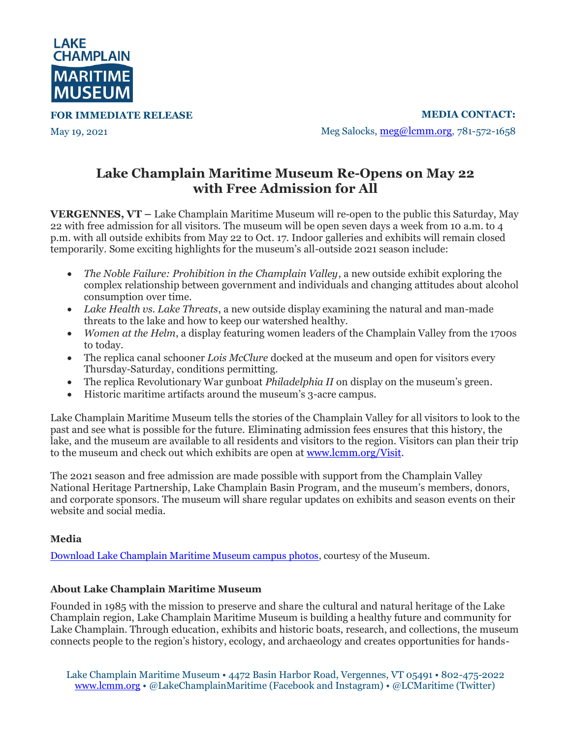

**FOR IMMEDIATE RELEASE**

May 19, 2021

**MEDIA CONTACT:** Meg Salocks, [meg@lcmm.org,](mailto:meg@lcmm.org) 781-572-1658

## **Lake Champlain Maritime Museum Re-Opens on May 22 with Free Admission for All**

**VERGENNES, VT –** Lake Champlain Maritime Museum will re-open to the public this Saturday, May 22 with free admission for all visitors. The museum will be open seven days a week from 10 a.m. to 4 p.m. with all outside exhibits from May 22 to Oct. 17. Indoor galleries and exhibits will remain closed temporarily. Some exciting highlights for the museum's all-outside 2021 season include:

- *The Noble Failure: Prohibition in the Champlain Valley*, a new outside exhibit exploring the complex relationship between government and individuals and changing attitudes about alcohol consumption over time.
- *Lake Health vs. Lake Threats*, a new outside display examining the natural and man-made threats to the lake and how to keep our watershed healthy.
- *Women at the Helm*, a display featuring women leaders of the Champlain Valley from the 1700s to today.
- The replica canal schooner *Lois McClure* docked at the museum and open for visitors every Thursday-Saturday, conditions permitting.
- The replica Revolutionary War gunboat *Philadelphia II* on display on the museum's green.
- Historic maritime artifacts around the museum's 3-acre campus.

Lake Champlain Maritime Museum tells the stories of the Champlain Valley for all visitors to look to the past and see what is possible for the future. Eliminating admission fees ensures that this history, the lake, and the museum are available to all residents and visitors to the region. Visitors can plan their trip to the museum and check out which exhibits are open at [www.lcmm.org/Visit.](http://www.lcmm.org/Visit)

The 2021 season and free admission are made possible with support from the Champlain Valley National Heritage Partnership, Lake Champlain Basin Program, and the museum's members, donors, and corporate sponsors. The museum will share regular updates on exhibits and season events on their website and social media.

## **Media**

[Download Lake Champlain Maritime Museum campus photos,](https://www.dropbox.com/sh/mjtev0t6elkt5rx/AACI9UveFgBCvPYWA368-KVJa?dl=0) courtesy of the Museum.

## **About Lake Champlain Maritime Museum**

Founded in 1985 with the mission to preserve and share the cultural and natural heritage of the Lake Champlain region, Lake Champlain Maritime Museum is building a healthy future and community for Lake Champlain. Through education, exhibits and historic boats, research, and collections, the museum connects people to the region's history, ecology, and archaeology and creates opportunities for hands-

Lake Champlain Maritime Museum • 4472 Basin Harbor Road, Vergennes, VT 05491 • 802-475-2022 [www.lcmm.org](http://www.lcmm.org/) • @LakeChamplainMaritime (Facebook and Instagram) • @LCMaritime (Twitter)